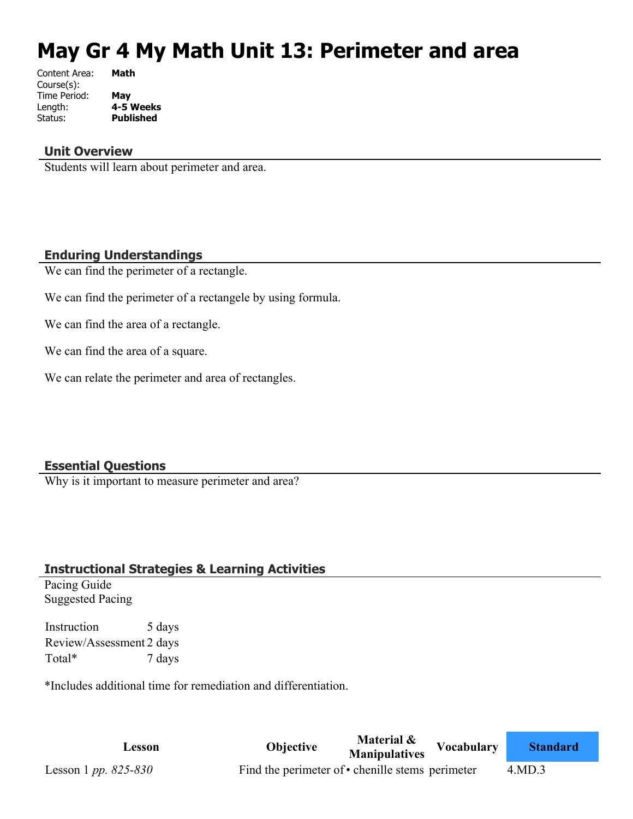# **May Gr 4 My Math Unit 13: Perimeter and area**

| Content Area: | Math             |
|---------------|------------------|
| Course(s):    |                  |
| Time Period:  | May              |
| Length:       | 4-5 Weeks        |
| Status:       | <b>Published</b> |
|               |                  |

#### **Unit Overview**

Students will learn about perimeter and area.

#### **Enduring Understandings**

We can find the perimeter of a rectangle.

We can find the perimeter of a rectangele by using formula.

We can find the area of a rectangle.

We can find the area of a square.

We can relate the perimeter and area of rectangles.

## **Essential Questions**

Why is it important to measure perimeter and area?

## **Instructional Strategies & Learning Activities**

Pacing Guide Suggested Pacing

Instruction 5 days Review/Assessment 2 days Total\* 7 days

\*Includes additional time for remediation and differentiation.

**Lesson Objective Material & Manipulatives Vocabulary Standard** Lesson 1 *pp.* 825-830 Find the perimeter of • chenille stems perimeter 4.MD.3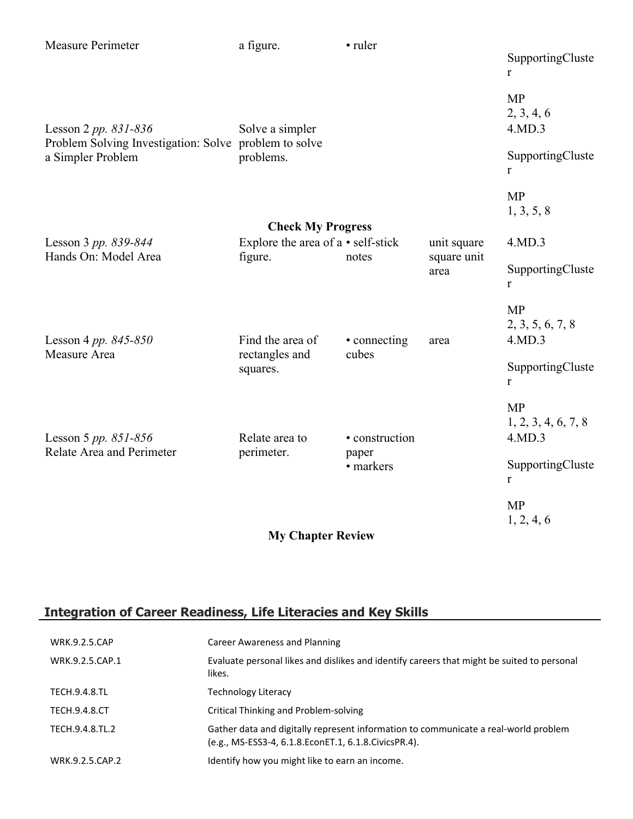| Measure Perimeter                                                          | a figure.                                                               | • ruler                              |                     | SupportingCluste<br>$\mathbf{r}$           |
|----------------------------------------------------------------------------|-------------------------------------------------------------------------|--------------------------------------|---------------------|--------------------------------------------|
| Lesson 2 pp. $831 - 836$                                                   | Solve a simpler                                                         |                                      |                     | <b>MP</b><br>2, 3, 4, 6<br>4.MD.3          |
| Problem Solving Investigation: Solve problem to solve<br>a Simpler Problem | problems.                                                               |                                      |                     | SupportingCluste<br>$\mathbf{r}$           |
|                                                                            |                                                                         |                                      |                     | <b>MP</b><br>1, 3, 5, 8                    |
|                                                                            | <b>Check My Progress</b>                                                |                                      |                     |                                            |
| Lesson 3 pp. 839-844                                                       | Explore the area of a • self-stick                                      |                                      | unit square         | 4.MD.3                                     |
| Hands On: Model Area                                                       | figure.                                                                 | notes                                | square unit<br>area | SupportingCluste<br>$\mathbf{r}$           |
| Lesson 4 pp. $845 - 850$                                                   | Find the area of<br>• connecting<br>rectangles and<br>cubes<br>squares. |                                      | area                | <b>MP</b><br>2, 3, 5, 6, 7, 8<br>4.MD.3    |
| Measure Area                                                               |                                                                         |                                      |                     | SupportingCluste<br>$\mathbf{r}$           |
| Lesson 5 pp. $851 - 856$                                                   | Relate area to                                                          | • construction<br>paper<br>• markers |                     | <b>MP</b><br>1, 2, 3, 4, 6, 7, 8<br>4.MD.3 |
| Relate Area and Perimeter                                                  | perimeter.                                                              |                                      |                     | SupportingCluste<br>r                      |
|                                                                            |                                                                         |                                      |                     | <b>MP</b><br>1, 2, 4, 6                    |
|                                                                            | <b>My Chapter Review</b>                                                |                                      |                     |                                            |

# **Integration of Career Readiness, Life Literacies and Key Skills**

| <b>WRK.9.2.5.CAP</b> | Career Awareness and Planning                                                                                                                  |
|----------------------|------------------------------------------------------------------------------------------------------------------------------------------------|
| WRK.9.2.5.CAP.1      | Evaluate personal likes and dislikes and identify careers that might be suited to personal<br>likes.                                           |
| <b>TECH.9.4.8.TL</b> | Technology Literacy                                                                                                                            |
| <b>TECH.9.4.8.CT</b> | <b>Critical Thinking and Problem-solving</b>                                                                                                   |
| TECH.9.4.8.TL.2      | Gather data and digitally represent information to communicate a real-world problem<br>(e.g., MS-ESS3-4, 6.1.8. EconET.1, 6.1.8. Civics PR.4). |
| WRK.9.2.5.CAP.2      | Identify how you might like to earn an income.                                                                                                 |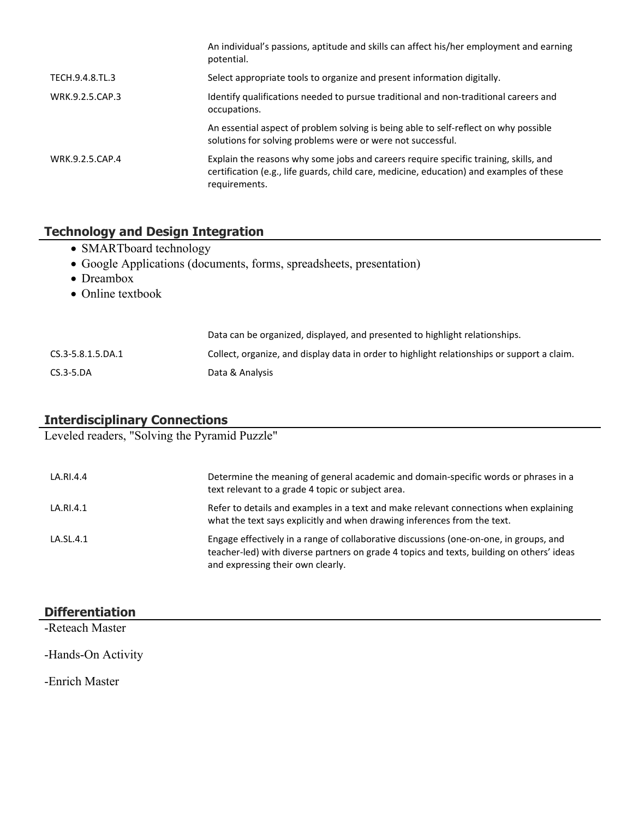|                 | An individual's passions, aptitude and skills can affect his/her employment and earning<br>potential.                                                                                             |
|-----------------|---------------------------------------------------------------------------------------------------------------------------------------------------------------------------------------------------|
| TECH.9.4.8.TL.3 | Select appropriate tools to organize and present information digitally.                                                                                                                           |
| WRK.9.2.5.CAP.3 | Identify qualifications needed to pursue traditional and non-traditional careers and<br>occupations.                                                                                              |
|                 | An essential aspect of problem solving is being able to self-reflect on why possible<br>solutions for solving problems were or were not successful.                                               |
| WRK.9.2.5.CAP.4 | Explain the reasons why some jobs and careers require specific training, skills, and<br>certification (e.g., life guards, child care, medicine, education) and examples of these<br>requirements. |

# **Technology and Design Integration**

- SMARTboard technology
- Google Applications (documents, forms, spreadsheets, presentation)
- Dreambox
- Online textbook

|                   | Data can be organized, displayed, and presented to highlight relationships.                 |
|-------------------|---------------------------------------------------------------------------------------------|
| CS.3-5.8.1.5.DA.1 | Collect, organize, and display data in order to highlight relationships or support a claim. |
| $CS.3-5.DA$       | Data & Analysis                                                                             |

# **Interdisciplinary Connections**

Leveled readers, "Solving the Pyramid Puzzle"

| LA.RI.4.4 | Determine the meaning of general academic and domain-specific words or phrases in a<br>text relevant to a grade 4 topic or subject area.                                                                                 |
|-----------|--------------------------------------------------------------------------------------------------------------------------------------------------------------------------------------------------------------------------|
| LA.RI.4.1 | Refer to details and examples in a text and make relevant connections when explaining<br>what the text says explicitly and when drawing inferences from the text.                                                        |
| LA.SL.4.1 | Engage effectively in a range of collaborative discussions (one-on-one, in groups, and<br>teacher-led) with diverse partners on grade 4 topics and texts, building on others' ideas<br>and expressing their own clearly. |

| <b>Differentiation</b> |  |
|------------------------|--|
| -Reteach Master        |  |
| -Hands-On Activity     |  |

-Enrich Master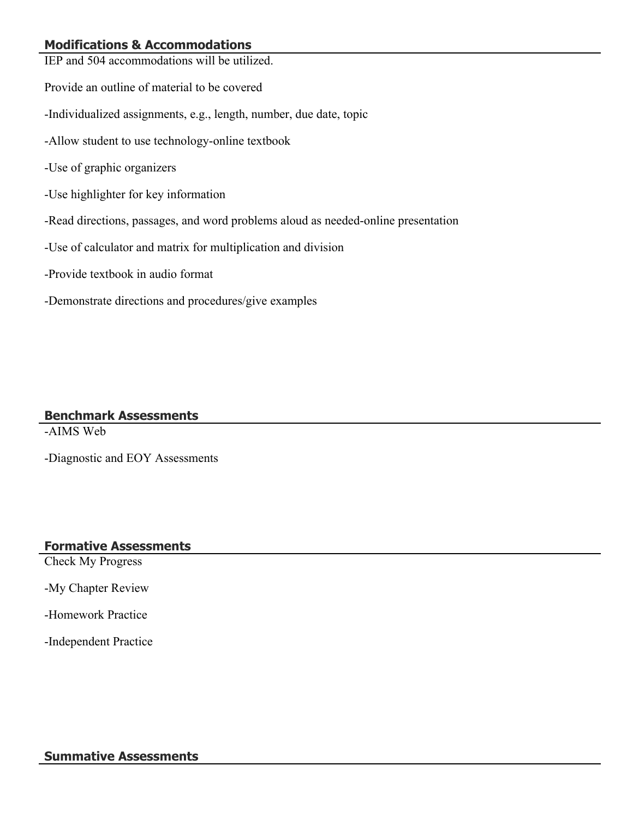# **Modifications & Accommodations**

| IEP and 504 accommodations will be utilized.                                      |
|-----------------------------------------------------------------------------------|
| Provide an outline of material to be covered                                      |
| -Individualized assignments, e.g., length, number, due date, topic                |
| -Allow student to use technology-online textbook                                  |
| -Use of graphic organizers                                                        |
| -Use highlighter for key information                                              |
| -Read directions, passages, and word problems aloud as needed-online presentation |
| -Use of calculator and matrix for multiplication and division                     |
| -Provide textbook in audio format                                                 |
| -Demonstrate directions and procedures/give examples                              |
|                                                                                   |

#### **Benchmark Assessments**

-AIMS Web

-Diagnostic and EOY Assessments

#### **Formative Assessments**

Check My Progress

-My Chapter Review

-Homework Practice

-Independent Practice